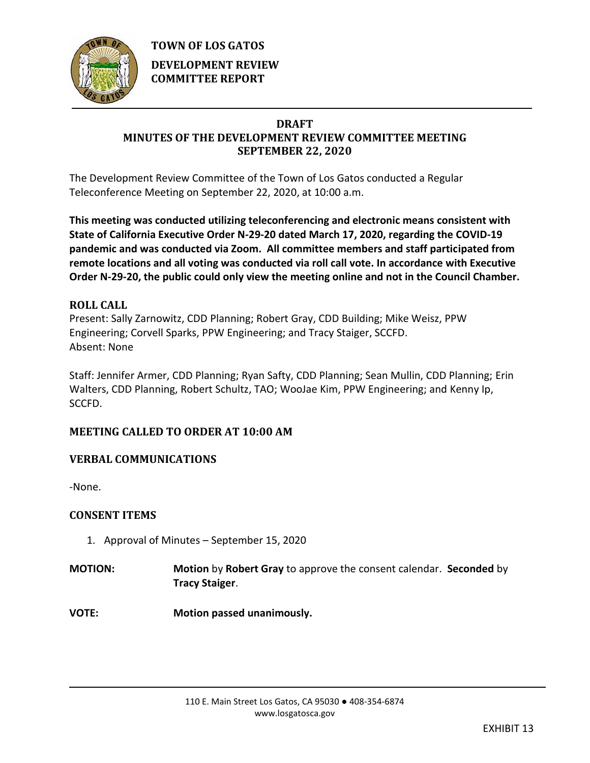

**TOWN OF LOS GATOS DEVELOPMENT REVIEW COMMITTEE REPORT**

# **DRAFT**

# **MINUTES OF THE DEVELOPMENT REVIEW COMMITTEE MEETING SEPTEMBER 22, 2020**

The Development Review Committee of the Town of Los Gatos conducted a Regular Teleconference Meeting on September 22, 2020, at 10:00 a.m.

**This meeting was conducted utilizing teleconferencing and electronic means consistent with State of California Executive Order N-29-20 dated March 17, 2020, regarding the COVID-19 pandemic and was conducted via Zoom. All committee members and staff participated from remote locations and all voting was conducted via roll call vote. In accordance with Executive Order N-29-20, the public could only view the meeting online and not in the Council Chamber.** 

# **ROLL CALL**

Present: Sally Zarnowitz, CDD Planning; Robert Gray, CDD Building; Mike Weisz, PPW Engineering; Corvell Sparks, PPW Engineering; and Tracy Staiger, SCCFD. Absent: None

Staff: Jennifer Armer, CDD Planning; Ryan Safty, CDD Planning; Sean Mullin, CDD Planning; Erin Walters, CDD Planning, Robert Schultz, TAO; WooJae Kim, PPW Engineering; and Kenny Ip, SCCFD.

# **MEETING CALLED TO ORDER AT 10:00 AM**

# **VERBAL COMMUNICATIONS**

-None.

# **CONSENT ITEMS**

- 1. Approval of Minutes September 15, 2020
- **MOTION: Motion** by **Robert Gray** to approve the consent calendar. **Seconded** by **Tracy Staiger**.
- **VOTE: Motion passed unanimously.**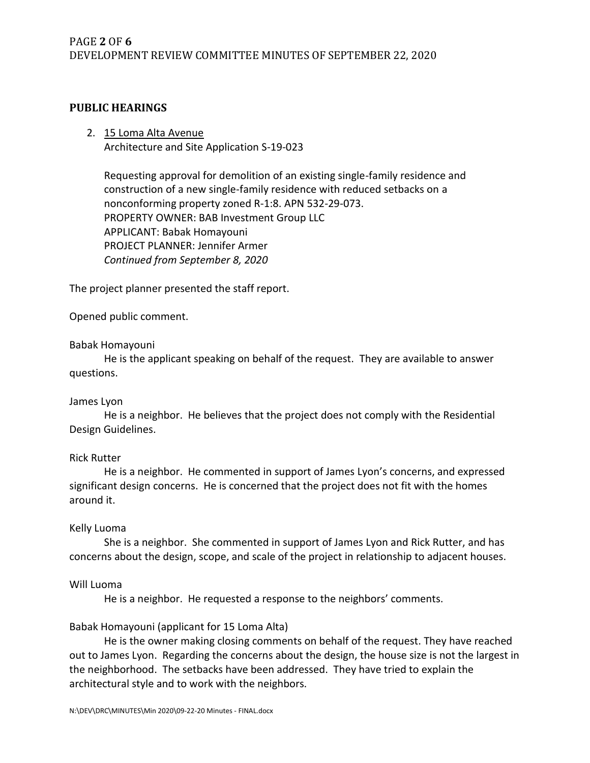## **PUBLIC HEARINGS**

## 2. 15 Loma Alta Avenue Architecture and Site Application S-19-023

Requesting approval for demolition of an existing single-family residence and construction of a new single-family residence with reduced setbacks on a nonconforming property zoned R-1:8. APN 532-29-073. PROPERTY OWNER: BAB Investment Group LLC APPLICANT: Babak Homayouni PROJECT PLANNER: Jennifer Armer *Continued from September 8, 2020*

The project planner presented the staff report.

Opened public comment.

### Babak Homayouni

He is the applicant speaking on behalf of the request. They are available to answer questions.

### James Lyon

He is a neighbor. He believes that the project does not comply with the Residential Design Guidelines.

### Rick Rutter

He is a neighbor. He commented in support of James Lyon's concerns, and expressed significant design concerns. He is concerned that the project does not fit with the homes around it.

### Kelly Luoma

She is a neighbor. She commented in support of James Lyon and Rick Rutter, and has concerns about the design, scope, and scale of the project in relationship to adjacent houses.

### Will Luoma

He is a neighbor. He requested a response to the neighbors' comments.

### Babak Homayouni (applicant for 15 Loma Alta)

He is the owner making closing comments on behalf of the request. They have reached out to James Lyon. Regarding the concerns about the design, the house size is not the largest in the neighborhood. The setbacks have been addressed. They have tried to explain the architectural style and to work with the neighbors.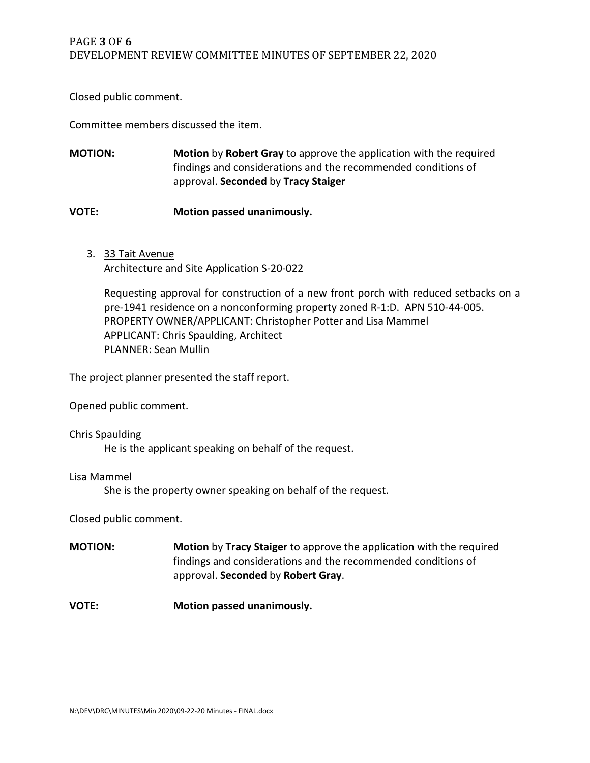Closed public comment.

Committee members discussed the item.

**MOTION: Motion** by **Robert Gray** to approve the application with the required findings and considerations and the recommended conditions of approval. **Seconded** by **Tracy Staiger**

### **VOTE: Motion passed unanimously.**

3. 33 Tait Avenue Architecture and Site Application S-20-022

Requesting approval for construction of a new front porch with reduced setbacks on a pre-1941 residence on a nonconforming property zoned R-1:D. APN 510-44-005. PROPERTY OWNER/APPLICANT: Christopher Potter and Lisa Mammel APPLICANT: Chris Spaulding, Architect PLANNER: Sean Mullin

The project planner presented the staff report.

Opened public comment.

#### Chris Spaulding

He is the applicant speaking on behalf of the request.

#### Lisa Mammel

She is the property owner speaking on behalf of the request.

Closed public comment.

**MOTION: Motion** by **Tracy Staiger** to approve the application with the required findings and considerations and the recommended conditions of approval. **Seconded** by **Robert Gray**.

**VOTE: Motion passed unanimously.**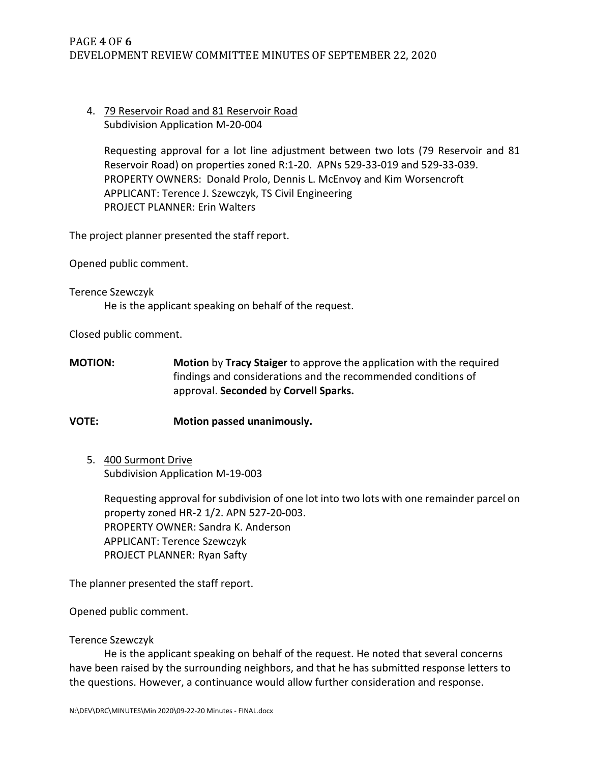# PAGE **4** OF **6** DEVELOPMENT REVIEW COMMITTEE MINUTES OF SEPTEMBER 22, 2020

# 4. 79 Reservoir Road and 81 Reservoir Road Subdivision Application M-20-004

Requesting approval for a lot line adjustment between two lots (79 Reservoir and 81 Reservoir Road) on properties zoned R:1-20. APNs 529-33-019 and 529-33-039. PROPERTY OWNERS: Donald Prolo, Dennis L. McEnvoy and Kim Worsencroft APPLICANT: Terence J. Szewczyk, TS Civil Engineering PROJECT PLANNER: Erin Walters

The project planner presented the staff report.

Opened public comment.

#### Terence Szewczyk

He is the applicant speaking on behalf of the request.

Closed public comment.

**MOTION: Motion** by **Tracy Staiger** to approve the application with the required findings and considerations and the recommended conditions of approval. **Seconded** by **Corvell Sparks.** 

# **VOTE: Motion passed unanimously.**

5. 400 Surmont Drive Subdivision Application M-19-003

Requesting approval for subdivision of one lot into two lots with one remainder parcel on property zoned HR-2 1/2. APN 527-20-003. PROPERTY OWNER: Sandra K. Anderson APPLICANT: Terence Szewczyk PROJECT PLANNER: Ryan Safty

The planner presented the staff report.

Opened public comment.

### Terence Szewczyk

He is the applicant speaking on behalf of the request. He noted that several concerns have been raised by the surrounding neighbors, and that he has submitted response letters to the questions. However, a continuance would allow further consideration and response.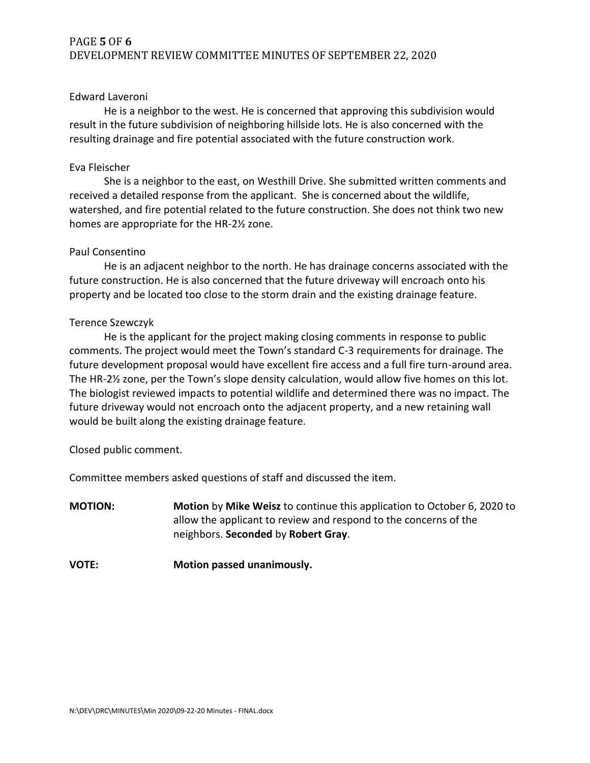# PAGE **5** OF **6** DEVELOPMENT REVIEW COMMITTEE MINUTES OF SEPTEMBER 22, 2020

#### Edward Laveroni

He is a neighbor to the west. He is concerned that approving this subdivision would result in the future subdivision of neighboring hillside lots. He is also concerned with the resulting drainage and fire potential associated with the future construction work.

#### Eva Fleischer

She is a neighbor to the east, on Westhill Drive. She submitted written comments and received a detailed response from the applicant. She is concerned about the wildlife, watershed, and fire potential related to the future construction. She does not think two new homes are appropriate for the HR-2½ zone.

#### Paul Consentino

He is an adjacent neighbor to the north. He has drainage concerns associated with the future construction. He is also concerned that the future driveway will encroach onto his property and be located too close to the storm drain and the existing drainage feature.

#### Terence Szewczyk

He is the applicant for the project making closing comments in response to public comments. The project would meet the Town's standard C-3 requirements for drainage. The future development proposal would have excellent fire access and a full fire turn-around area. The HR-2½ zone, per the Town's slope density calculation, would allow five homes on this lot. The biologist reviewed impacts to potential wildlife and determined there was no impact. The future driveway would not encroach onto the adjacent property, and a new retaining wall would be built along the existing drainage feature.

Closed public comment.

Committee members asked questions of staff and discussed the item.

- **MOTION: Motion** by **Mike Weisz** to continue this application to October 6, 2020 to allow the applicant to review and respond to the concerns of the neighbors. **Seconded** by **Robert Gray**.
- **VOTE: Motion passed unanimously.**